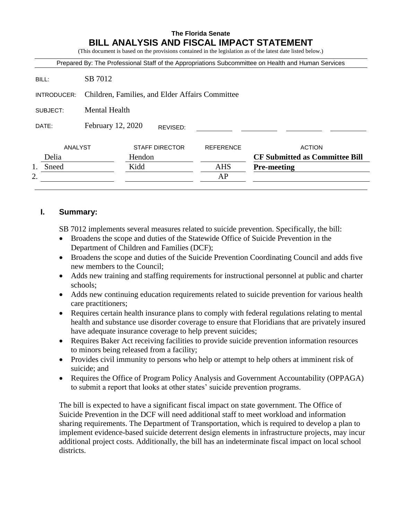## **The Florida Senate BILL ANALYSIS AND FISCAL IMPACT STATEMENT**

(This document is based on the provisions contained in the legislation as of the latest date listed below.)

| Prepared By: The Professional Staff of the Appropriations Subcommittee on Health and Human Services |                                                 |                       |  |                  |                                       |
|-----------------------------------------------------------------------------------------------------|-------------------------------------------------|-----------------------|--|------------------|---------------------------------------|
| BILL:                                                                                               | SB 7012                                         |                       |  |                  |                                       |
| INTRODUCER:                                                                                         | Children, Families, and Elder Affairs Committee |                       |  |                  |                                       |
| SUBJECT:                                                                                            | Mental Health                                   |                       |  |                  |                                       |
| DATE:                                                                                               | February 12, 2020<br>REVISED:                   |                       |  |                  |                                       |
| ANALYST                                                                                             |                                                 | <b>STAFF DIRECTOR</b> |  | <b>REFERENCE</b> | <b>ACTION</b>                         |
| Delia                                                                                               |                                                 | Hendon                |  |                  | <b>CF Submitted as Committee Bill</b> |
| Sneed                                                                                               |                                                 | Kidd                  |  | <b>AHS</b>       | <b>Pre-meeting</b>                    |
| 2.                                                                                                  |                                                 |                       |  | AP               |                                       |
|                                                                                                     |                                                 |                       |  |                  |                                       |

### **I. Summary:**

SB 7012 implements several measures related to suicide prevention. Specifically, the bill:

- Broadens the scope and duties of the Statewide Office of Suicide Prevention in the Department of Children and Families (DCF);
- Broadens the scope and duties of the Suicide Prevention Coordinating Council and adds five new members to the Council;
- Adds new training and staffing requirements for instructional personnel at public and charter schools;
- Adds new continuing education requirements related to suicide prevention for various health care practitioners;
- Requires certain health insurance plans to comply with federal regulations relating to mental health and substance use disorder coverage to ensure that Floridians that are privately insured have adequate insurance coverage to help prevent suicides;
- Requires Baker Act receiving facilities to provide suicide prevention information resources to minors being released from a facility;
- Provides civil immunity to persons who help or attempt to help others at imminent risk of suicide; and
- Requires the Office of Program Policy Analysis and Government Accountability (OPPAGA) to submit a report that looks at other states' suicide prevention programs.

The bill is expected to have a significant fiscal impact on state government. The Office of Suicide Prevention in the DCF will need additional staff to meet workload and information sharing requirements. The Department of Transportation, which is required to develop a plan to implement evidence-based suicide deterrent design elements in infrastructure projects, may incur additional project costs. Additionally, the bill has an indeterminate fiscal impact on local school districts.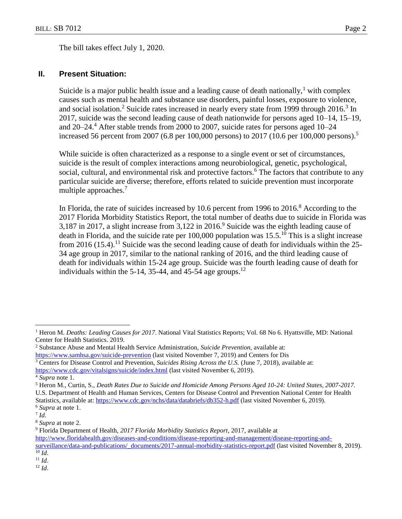The bill takes effect July 1, 2020.

## **II. Present Situation:**

Suicide is a major public health issue and a leading cause of death nationally,<sup>1</sup> with complex causes such as mental health and substance use disorders, painful losses, exposure to violence, and social isolation.<sup>2</sup> Suicide rates increased in nearly every state from 1999 through  $2016$ .<sup>3</sup> In 2017, suicide was the second leading cause of death nationwide for persons aged 10–14, 15–19, and  $20-24$ <sup>4</sup>. After stable trends from 2000 to 2007, suicide rates for persons aged  $10-24$ increased 56 percent from 2007 (6.8 per 100,000 persons) to 2017 (10.6 per 100,000 persons).<sup>5</sup>

While suicide is often characterized as a response to a single event or set of circumstances, suicide is the result of complex interactions among neurobiological, genetic, psychological, social, cultural, and environmental risk and protective factors.<sup>6</sup> The factors that contribute to any particular suicide are diverse; therefore, efforts related to suicide prevention must incorporate multiple approaches.<sup>7</sup>

In Florida, the rate of suicides increased by 10.6 percent from 1996 to  $2016$ .<sup>8</sup> According to the 2017 Florida Morbidity Statistics Report, the total number of deaths due to suicide in Florida was 3,187 in 2017, a slight increase from  $3,122$  in 2016.<sup>9</sup> Suicide was the eighth leading cause of death in Florida, and the suicide rate per 100,000 population was  $15.5^{10}$  This is a slight increase from 2016 (15.4).<sup>11</sup> Suicide was the second leading cause of death for individuals within the 25-34 age group in 2017, similar to the national ranking of 2016, and the third leading cause of death for individuals within 15-24 age group. Suicide was the fourth leading cause of death for individuals within the 5-14, 35-44, and 45-54 age groups.<sup>12</sup>

<sup>6</sup> *Supra* at note 1.

 $\overline{a}$ 

<sup>8</sup> *Supra* at note 2.

<sup>12</sup> *Id*.

<sup>1</sup> Heron M. *Deaths: Leading Causes for 2017*. National Vital Statistics Reports; Vol. 68 No 6. Hyattsville, MD: National Center for Health Statistics. 2019.

<sup>2</sup> Substance Abuse and Mental Health Service Administration, *Suicide Prevention,* available at: <https://www.samhsa.gov/suicide-prevention> (last visited November 7, 2019) and Centers for Dis

<sup>3</sup> Centers for Disease Control and Prevention, *Suicides Rising Across the U.S.* (June 7, 2018), available at:

<https://www.cdc.gov/vitalsigns/suicide/index.html> (last visited November 6, 2019).

<sup>4</sup> *Supra* note 1.

<sup>5</sup> Heron M., Curtin, S., *Death Rates Due to Suicide and Homicide Among Persons Aged 10-24: United States, 2007-2017.* U.S. Department of Health and Human Services, Centers for Disease Control and Prevention National Center for Health Statistics, available at: <https://www.cdc.gov/nchs/data/databriefs/db352-h.pdf> (last visited November 6, 2019).

<sup>7</sup> *Id*.

<sup>9</sup> Florida Department of Health, *2017 Florida Morbidity Statistics Report*, 2017, available at

[http://www.floridahealth.gov/diseases-and-conditions/disease-reporting-and-management/disease-reporting-and-](http://www.floridahealth.gov/diseases-and-conditions/disease-reporting-and-management/disease-reporting-and-surveillance/data-and-publications/_documents/2017-annual-morbidity-statistics-report.pdf)

[surveillance/data-and-publications/\\_documents/2017-annual-morbidity-statistics-report.pdf](http://www.floridahealth.gov/diseases-and-conditions/disease-reporting-and-management/disease-reporting-and-surveillance/data-and-publications/_documents/2017-annual-morbidity-statistics-report.pdf) (last visited November 8, 2019).  $\overline{^{10}}$  *Id*.

<sup>11</sup> *Id*.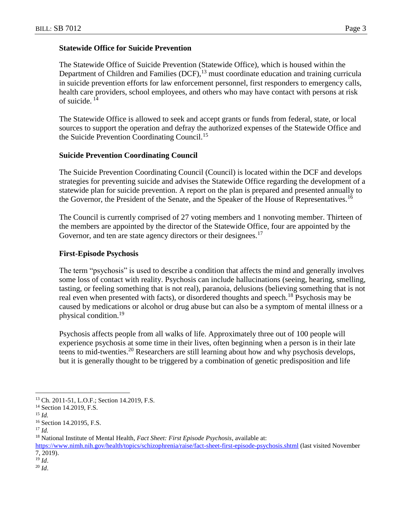### **Statewide Office for Suicide Prevention**

The Statewide Office of Suicide Prevention (Statewide Office), which is housed within the Department of Children and Families (DCF), <sup>13</sup> must coordinate education and training curricula in suicide prevention efforts for law enforcement personnel, first responders to emergency calls, health care providers, school employees, and others who may have contact with persons at risk of suicide. <sup>14</sup>

The Statewide Office is allowed to seek and accept grants or funds from federal, state, or local sources to support the operation and defray the authorized expenses of the Statewide Office and the Suicide Prevention Coordinating Council.<sup>15</sup>

### **Suicide Prevention Coordinating Council**

The Suicide Prevention Coordinating Council (Council) is located within the DCF and develops strategies for preventing suicide and advises the Statewide Office regarding the development of a statewide plan for suicide prevention. A report on the plan is prepared and presented annually to the Governor, the President of the Senate, and the Speaker of the House of Representatives.<sup>16</sup>

The Council is currently comprised of 27 voting members and 1 nonvoting member. Thirteen of the members are appointed by the director of the Statewide Office, four are appointed by the Governor, and ten are state agency directors or their designees.<sup>17</sup>

### **First-Episode Psychosis**

The term "psychosis" is used to describe a condition that affects the mind and generally involves some loss of contact with reality. Psychosis can include hallucinations (seeing, hearing, smelling, tasting, or feeling something that is not real), paranoia, delusions (believing something that is not real even when presented with facts), or disordered thoughts and speech.<sup>18</sup> Psychosis may be caused by medications or alcohol or drug abuse but can also be a symptom of mental illness or a physical condition.<sup>19</sup>

Psychosis affects people from all walks of life. Approximately three out of 100 people will experience psychosis at some time in their lives, often beginning when a person is in their late teens to mid-twenties.<sup>20</sup> Researchers are still learning about how and why psychosis develops, but it is generally thought to be triggered by a combination of genetic predisposition and life

<sup>13</sup> Ch. 2011-51, L.O.F.; Section 14.2019, F.S.

<sup>&</sup>lt;sup>14</sup> Section 14.2019, F.S.

<sup>15</sup> *Id.*

<sup>16</sup> Section 14.20195, F.S.

<sup>17</sup> *Id.*

<sup>18</sup> National Institute of Mental Health, *Fact Sheet: First Episode Psychosis*, available at:

<https://www.nimh.nih.gov/health/topics/schizophrenia/raise/fact-sheet-first-episode-psychosis.shtml> (last visited November 7, 2019).

<sup>19</sup> *Id*.

<sup>20</sup> *Id*.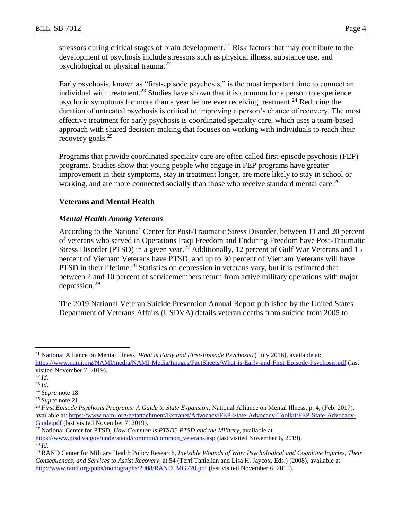stressors during critical stages of brain development.<sup>21</sup> Risk factors that may contribute to the development of psychosis include stressors such as physical illness, substance use, and psychological or physical trauma.<sup>22</sup>

Early psychosis, known as "first-episode psychosis," is the most important time to connect an individual with treatment.<sup>23</sup> Studies have shown that it is common for a person to experience psychotic symptoms for more than a year before ever receiving treatment.<sup>24</sup> Reducing the duration of untreated psychosis is critical to improving a person's chance of recovery. The most effective treatment for early psychosis is coordinated specialty care, which uses a team-based approach with shared decision-making that focuses on working with individuals to reach their recovery goals.<sup>25</sup>

Programs that provide coordinated specialty care are often called first-episode psychosis (FEP) programs. Studies show that young people who engage in FEP programs have greater improvement in their symptoms, stay in treatment longer, are more likely to stay in school or working, and are more connected socially than those who receive standard mental care.<sup>26</sup>

### **Veterans and Mental Health**

### *Mental Health Among Veterans*

According to the National Center for Post-Traumatic Stress Disorder, between 11 and 20 percent of veterans who served in Operations Iraqi Freedom and Enduring Freedom have Post-Traumatic Stress Disorder (PTSD) in a given year.<sup>27</sup> Additionally, 12 percent of Gulf War Veterans and 15 percent of Vietnam Veterans have PTSD, and up to 30 percent of Vietnam Veterans will have PTSD in their lifetime.<sup>28</sup> Statistics on depression in veterans vary, but it is estimated that between 2 and 10 percent of servicemembers return from active military operations with major depression.<sup>29</sup>

The 2019 National Veteran Suicide Prevention Annual Report published by the United States Department of Veterans Affairs (USDVA) details veteran deaths from suicide from 2005 to

<sup>21</sup> National Alliance on Mental Illness, *What is Early and First-Episode Psychosis?*( July 2016), available at: <https://www.nami.org/NAMI/media/NAMI-Media/Images/FactSheets/What-is-Early-and-First-Episode-Psychosis.pdf> (last visited November 7, 2019).

<sup>22</sup> *Id.*

<sup>23</sup> *Id*.

<sup>24</sup> *Supra* note 18.

<sup>25</sup> *Supra* note 21.

<sup>26</sup> *First Episode Psychosis Programs: A Guide to State Expansion*, National Alliance on Mental Illness, p. 4, (Feb. 2017), available at: [https://www.nami.org/getattachment/Extranet/Advocacy/FEP-State-Advocacy-Toolkit/FEP-State-Advocacy-](https://www.nami.org/getattachment/Extranet/Advocacy/FEP-State-Advocacy-Toolkit/FEP-State-Advocacy-Guide.pdf)[Guide.pdf](https://www.nami.org/getattachment/Extranet/Advocacy/FEP-State-Advocacy-Toolkit/FEP-State-Advocacy-Guide.pdf) (last visited November 7, 2019).

<sup>27</sup> National Center for PTSD, *How Common is PTSD? PTSD and the Military*, available at [https://www.ptsd.va.gov/understand/common/common\\_veterans.asp](https://www.ptsd.va.gov/understand/common/common_veterans.asp) (last visited November 6, 2019).  $^{28}$  *Id.* 

<sup>29</sup> RAND Center for Military Health Policy Research, *Invisible Wounds of War: Psychological and Cognitive Injuries, Their Consequences, and Services to Assist Recovery*, at 54 (Terri Tanielian and Lisa H. Jaycox, Eds.) (2008), available at [http://www.rand.org/pubs/monographs/2008/RAND\\_MG720.pdf](http://www.rand.org/pubs/monographs/2008/RAND_MG720.pdf) (last visited November 6, 2019).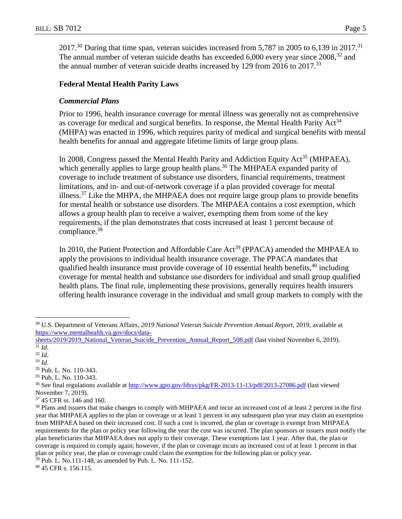$2017<sup>30</sup>$  During that time span, veteran suicides increased from 5,787 in 2005 to 6,139 in 2017.<sup>31</sup> The annual number of veteran suicide deaths has exceeded  $6,000$  every year since  $2008$ ,  $32$  and the annual number of veteran suicide deaths increased by 129 from  $2016$  to  $2017$ .<sup>33</sup>

#### **Federal Mental Health Parity Laws**

#### *Commercial Plans*

Prior to 1996, health insurance coverage for mental illness was generally not as comprehensive as coverage for medical and surgical benefits. In response, the Mental Health Parity Act<sup>34</sup> (MHPA) was enacted in 1996, which requires parity of medical and surgical benefits with mental health benefits for annual and aggregate lifetime limits of large group plans.

In 2008, Congress passed the Mental Health Parity and Addiction Equity Act<sup>35</sup> (MHPAEA), which generally applies to large group health plans.<sup>36</sup> The MHPAEA expanded parity of coverage to include treatment of substance use disorders, financial requirements, treatment limitations, and in- and out-of-network coverage if a plan provided coverage for mental illness.<sup>37</sup> Like the MHPA, the MHPAEA does not require large group plans to provide benefits for mental health or substance use disorders. The MHPAEA contains a cost exemption, which allows a group health plan to receive a waiver, exempting them from some of the key requirements, if the plan demonstrates that costs increased at least 1 percent because of compliance.<sup>38</sup>

In 2010, the Patient Protection and Affordable Care Act<sup>39</sup> (PPACA) amended the MHPAEA to apply the provisions to individual health insurance coverage. The PPACA mandates that qualified health insurance must provide coverage of 10 essential health benefits,  $40$  including coverage for mental health and substance use disorders for individual and small group qualified health plans. The final rule, implementing these provisions, generally requires health insurers offering health insurance coverage in the individual and small group markets to comply with the

<sup>30</sup> U.S. Department of Veterans Affairs, *2019 National Veteran Suicide Prevention Annual Report,* 2019, available at [https://www.mentalhealth.va.gov/docs/data-](https://www.mentalhealth.va.gov/docs/data-sheets/2019/2019_National_Veteran_Suicide_Prevention_Annual_Report_508.pdf)

[sheets/2019/2019\\_National\\_Veteran\\_Suicide\\_Prevention\\_Annual\\_Report\\_508.pdf](https://www.mentalhealth.va.gov/docs/data-sheets/2019/2019_National_Veteran_Suicide_Prevention_Annual_Report_508.pdf) (last visited November 6, 2019).  $\overline{\int^{31}Id.}$ 

<sup>32</sup> *Id*.

<sup>33</sup> *Id*.

<sup>35</sup> Pub. L. No. 110-343.

<sup>35</sup> Pub. L. No. 110-343.

<sup>&</sup>lt;sup>36</sup> See final regulations available at<http://www.gpo.gov/fdsys/pkg/FR-2013-11-13/pdf/2013-27086.pdf> (last viewed November 7, 2019).

<sup>37</sup> 45 CFR ss. 146 and 160.

<sup>&</sup>lt;sup>38</sup> Plans and issuers that make changes to comply with MHPAEA and incur an increased cost of at least 2 percent in the first year that MHPAEA applies to the plan or coverage or at least 1 percent in any subsequent plan year may claim an exemption from MHPAEA based on their increased cost. If such a cost is incurred, the plan or coverage is exempt from MHPAEA requirements for the plan or policy year following the year the cost was incurred. The plan sponsors or issuers must notify the plan beneficiaries that MHPAEA does not apply to their coverage. These exemptions last 1 year. After that, the plan or coverage is required to comply again; however, if the plan or coverage incurs an increased cost of at least 1 percent in that plan or policy year, the plan or coverage could claim the exemption for the following plan or policy year.

<sup>39</sup> Pub. L. No.111-148, as amended by Pub. L. No. 111-152.

<sup>40</sup> 45 CFR s. 156.115.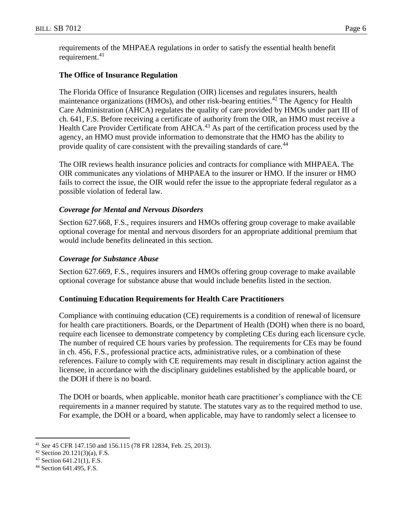requirements of the MHPAEA regulations in order to satisfy the essential health benefit requirement. 41

### **The Office of Insurance Regulation**

The Florida Office of Insurance Regulation (OIR) licenses and regulates insurers, health maintenance organizations (HMOs), and other risk-bearing entities.<sup>42</sup> The Agency for Health Care Administration (AHCA) regulates the quality of care provided by HMOs under part III of ch. 641, F.S. Before receiving a certificate of authority from the OIR, an HMO must receive a Health Care Provider Certificate from AHCA.<sup>43</sup> As part of the certification process used by the agency, an HMO must provide information to demonstrate that the HMO has the ability to provide quality of care consistent with the prevailing standards of care.<sup>44</sup>

The OIR reviews health insurance policies and contracts for compliance with MHPAEA. The OIR communicates any violations of MHPAEA to the insurer or HMO. If the insurer or HMO fails to correct the issue, the OIR would refer the issue to the appropriate federal regulator as a possible violation of federal law.

### *Coverage for Mental and Nervous Disorders*

Section 627.668, F.S., requires insurers and HMOs offering group coverage to make available optional coverage for mental and nervous disorders for an appropriate additional premium that would include benefits delineated in this section.

### *Coverage for Substance Abuse*

Section 627.669, F.S., requires insurers and HMOs offering group coverage to make available optional coverage for substance abuse that would include benefits listed in the section.

### **Continuing Education Requirements for Health Care Practitioners**

Compliance with continuing education (CE) requirements is a condition of renewal of licensure for health care practitioners. Boards, or the Department of Health (DOH) when there is no board, require each licensee to demonstrate competency by completing CEs during each licensure cycle. The number of required CE hours varies by profession. The requirements for CEs may be found in ch. 456, F.S., professional practice acts, administrative rules, or a combination of these references. Failure to comply with CE requirements may result in disciplinary action against the licensee, in accordance with the disciplinary guidelines established by the applicable board, or the DOH if there is no board.

The DOH or boards, when applicable, monitor heath care practitioner's compliance with the CE requirements in a manner required by statute. The statutes vary as to the required method to use. For example, the DOH or a board, when applicable, may have to randomly select a licensee to

<sup>41</sup> *See* 45 CFR 147.150 and 156.115 (78 FR 12834, Feb. 25, 2013).

<sup>42</sup> Section 20.121(3)(a), F.S.

 $43$  Section 641.21(1), F.S.

<sup>44</sup> Section 641.495, F.S.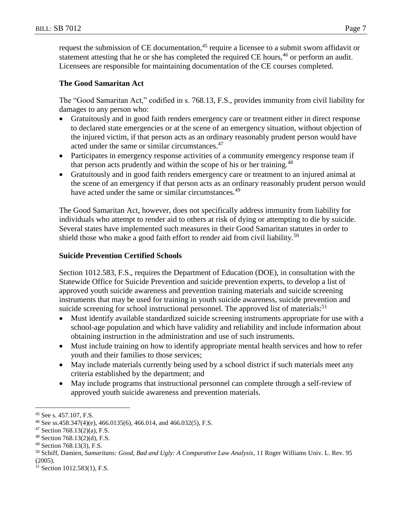request the submission of CE documentation,<sup>45</sup> require a licensee to a submit sworn affidavit or statement attesting that he or she has completed the required CE hours,  $46$  or perform an audit. Licensees are responsible for maintaining documentation of the CE courses completed.

# **The Good Samaritan Act**

The "Good Samaritan Act," codified in s. 768.13, F.S., provides immunity from civil liability for damages to any person who:

- Gratuitously and in good faith renders emergency care or treatment either in direct response to declared state emergencies or at the scene of an emergency situation, without objection of the injured victim, if that person acts as an ordinary reasonably prudent person would have acted under the same or similar circumstances.<sup>47</sup>
- Participates in emergency response activities of a community emergency response team if that person acts prudently and within the scope of his or her training.<sup>48</sup>
- Gratuitously and in good faith renders emergency care or treatment to an injured animal at the scene of an emergency if that person acts as an ordinary reasonably prudent person would have acted under the same or similar circumstances.<sup>49</sup>

The Good Samaritan Act, however, does not specifically address immunity from liability for individuals who attempt to render aid to others at risk of dying or attempting to die by suicide. Several states have implemented such measures in their Good Samaritan statutes in order to shield those who make a good faith effort to render aid from civil liability.<sup>50</sup>

# **Suicide Prevention Certified Schools**

Section 1012.583, F.S., requires the Department of Education (DOE), in consultation with the Statewide Office for Suicide Prevention and suicide prevention experts, to develop a list of approved youth suicide awareness and prevention training materials and suicide screening instruments that may be used for training in youth suicide awareness, suicide prevention and suicide screening for school instructional personnel. The approved list of materials:<sup>51</sup>

- Must identify available standardized suicide screening instruments appropriate for use with a school-age population and which have validity and reliability and include information about obtaining instruction in the administration and use of such instruments.
- Must include training on how to identify appropriate mental health services and how to refer youth and their families to those services;
- May include materials currently being used by a school district if such materials meet any criteria established by the department; and
- May include programs that instructional personnel can complete through a self-review of approved youth suicide awareness and prevention materials.

 $\overline{a}$ <sup>45</sup> See s. 457.107, F.S.

<sup>&</sup>lt;sup>46</sup> See ss.458.347(4)(e), 466.0135(6), 466.014, and 466.032(5), F.S.

 $47$  Section 768.13(2)(a), F.S.

<sup>48</sup> Section 768.13(2)(d), F.S.

<sup>49</sup> Section 768.13(3), F.S.

<sup>50</sup> Schiff, Damien, *Samaritans: Good, Bad and Ugly: A Comparative Law Analysis*, 11 Roger Williams Univ. L. Rev. 95 (2005).

<sup>51</sup> Section 1012.583(1), F.S.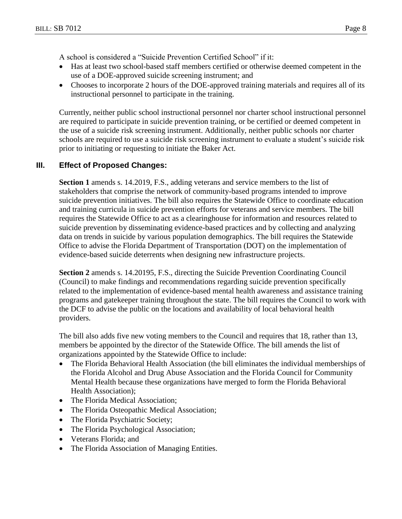- Has at least two school-based staff members certified or otherwise deemed competent in the use of a DOE-approved suicide screening instrument; and
- Chooses to incorporate 2 hours of the DOE-approved training materials and requires all of its instructional personnel to participate in the training.

Currently, neither public school instructional personnel nor charter school instructional personnel are required to participate in suicide prevention training, or be certified or deemed competent in the use of a suicide risk screening instrument. Additionally, neither public schools nor charter schools are required to use a suicide risk screening instrument to evaluate a student's suicide risk prior to initiating or requesting to initiate the Baker Act.

## **III. Effect of Proposed Changes:**

**Section 1** amends s. 14.2019, F.S., adding veterans and service members to the list of stakeholders that comprise the network of community-based programs intended to improve suicide prevention initiatives. The bill also requires the Statewide Office to coordinate education and training curricula in suicide prevention efforts for veterans and service members. The bill requires the Statewide Office to act as a clearinghouse for information and resources related to suicide prevention by disseminating evidence-based practices and by collecting and analyzing data on trends in suicide by various population demographics. The bill requires the Statewide Office to advise the Florida Department of Transportation (DOT) on the implementation of evidence-based suicide deterrents when designing new infrastructure projects.

**Section 2** amends s. 14.20195, F.S., directing the Suicide Prevention Coordinating Council (Council) to make findings and recommendations regarding suicide prevention specifically related to the implementation of evidence-based mental health awareness and assistance training programs and gatekeeper training throughout the state. The bill requires the Council to work with the DCF to advise the public on the locations and availability of local behavioral health providers.

The bill also adds five new voting members to the Council and requires that 18, rather than 13, members be appointed by the director of the Statewide Office. The bill amends the list of organizations appointed by the Statewide Office to include:

- The Florida Behavioral Health Association (the bill eliminates the individual memberships of the Florida Alcohol and Drug Abuse Association and the Florida Council for Community Mental Health because these organizations have merged to form the Florida Behavioral Health Association);
- The Florida Medical Association;
- The Florida Osteopathic Medical Association;
- The Florida Psychiatric Society;
- The Florida Psychological Association;
- Veterans Florida; and
- The Florida Association of Managing Entities.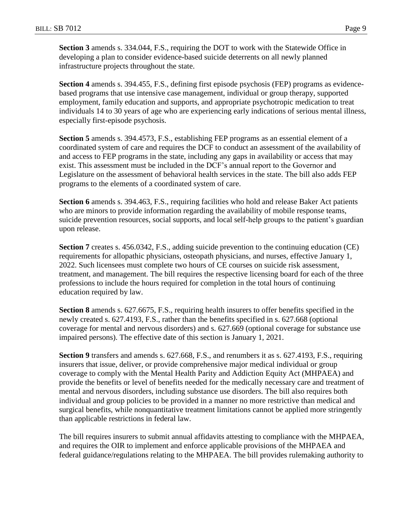**Section 3** amends s. 334.044, F.S., requiring the DOT to work with the Statewide Office in developing a plan to consider evidence-based suicide deterrents on all newly planned infrastructure projects throughout the state.

**Section 4** amends s. 394.455, F.S., defining first episode psychosis (FEP) programs as evidencebased programs that use intensive case management, individual or group therapy, supported employment, family education and supports, and appropriate psychotropic medication to treat individuals 14 to 30 years of age who are experiencing early indications of serious mental illness, especially first-episode psychosis.

**Section 5** amends s. 394.4573, F.S., establishing FEP programs as an essential element of a coordinated system of care and requires the DCF to conduct an assessment of the availability of and access to FEP programs in the state, including any gaps in availability or access that may exist. This assessment must be included in the DCF's annual report to the Governor and Legislature on the assessment of behavioral health services in the state. The bill also adds FEP programs to the elements of a coordinated system of care.

**Section 6** amends s. 394.463, F.S., requiring facilities who hold and release Baker Act patients who are minors to provide information regarding the availability of mobile response teams, suicide prevention resources, social supports, and local self-help groups to the patient's guardian upon release.

**Section 7** creates s. 456.0342, F.S., adding suicide prevention to the continuing education (CE) requirements for allopathic physicians, osteopath physicians, and nurses, effective January 1, 2022. Such licensees must complete two hours of CE courses on suicide risk assessment, treatment, and management. The bill requires the respective licensing board for each of the three professions to include the hours required for completion in the total hours of continuing education required by law.

**Section 8** amends s. 627.6675, F.S., requiring health insurers to offer benefits specified in the newly created s. 627.4193, F.S., rather than the benefits specified in s. 627.668 (optional coverage for mental and nervous disorders) and s. 627.669 (optional coverage for substance use impaired persons). The effective date of this section is January 1, 2021.

**Section 9** transfers and amends s. 627.668, F.S., and renumbers it as s. 627.4193, F.S., requiring insurers that issue, deliver, or provide comprehensive major medical individual or group coverage to comply with the Mental Health Parity and Addiction Equity Act (MHPAEA) and provide the benefits or level of benefits needed for the medically necessary care and treatment of mental and nervous disorders, including substance use disorders. The bill also requires both individual and group policies to be provided in a manner no more restrictive than medical and surgical benefits, while nonquantitative treatment limitations cannot be applied more stringently than applicable restrictions in federal law.

The bill requires insurers to submit annual affidavits attesting to compliance with the MHPAEA, and requires the OIR to implement and enforce applicable provisions of the MHPAEA and federal guidance/regulations relating to the MHPAEA. The bill provides rulemaking authority to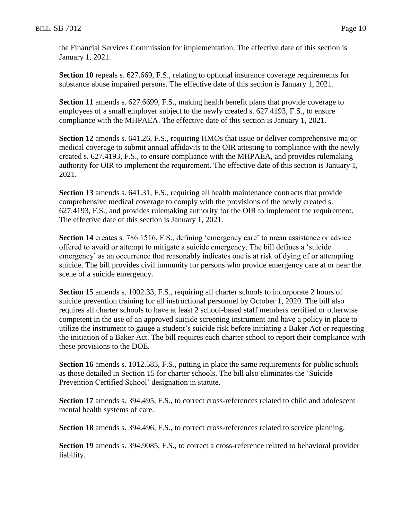the Financial Services Commission for implementation. The effective date of this section is January 1, 2021.

**Section 10** repeals s. 627.669, F.S., relating to optional insurance coverage requirements for substance abuse impaired persons. The effective date of this section is January 1, 2021.

**Section 11** amends s. 627.6699, F.S., making health benefit plans that provide coverage to employees of a small employer subject to the newly created s. 627.4193, F.S., to ensure compliance with the MHPAEA. The effective date of this section is January 1, 2021.

**Section 12** amends s. 641.26, F.S., requiring HMOs that issue or deliver comprehensive major medical coverage to submit annual affidavits to the OIR attesting to compliance with the newly created s. 627.4193, F.S., to ensure compliance with the MHPAEA, and provides rulemaking authority for OIR to implement the requirement. The effective date of this section is January 1, 2021.

**Section 13** amends s. 641.31, F.S., requiring all health maintenance contracts that provide comprehensive medical coverage to comply with the provisions of the newly created s. 627.4193, F.S., and provides rulemaking authority for the OIR to implement the requirement. The effective date of this section is January 1, 2021.

**Section 14** creates s. 786.1516, F.S., defining 'emergency care' to mean assistance or advice offered to avoid or attempt to mitigate a suicide emergency. The bill defines a 'suicide emergency' as an occurrence that reasonably indicates one is at risk of dying of or attempting suicide. The bill provides civil immunity for persons who provide emergency care at or near the scene of a suicide emergency.

**Section 15** amends s. 1002.33, F.S., requiring all charter schools to incorporate 2 hours of suicide prevention training for all instructional personnel by October 1, 2020. The bill also requires all charter schools to have at least 2 school-based staff members certified or otherwise competent in the use of an approved suicide screening instrument and have a policy in place to utilize the instrument to gauge a student's suicide risk before initiating a Baker Act or requesting the initiation of a Baker Act. The bill requires each charter school to report their compliance with these provisions to the DOE.

**Section 16** amends s. 1012.583, F.S., putting in place the same requirements for public schools as those detailed in Section 15 for charter schools. The bill also eliminates the 'Suicide Prevention Certified School' designation in statute.

**Section 17** amends s. 394.495, F.S., to correct cross-references related to child and adolescent mental health systems of care.

**Section 18** amends s. 394.496, F.S., to correct cross-references related to service planning.

**Section 19** amends s. 394.9085, F.S., to correct a cross-reference related to behavioral provider liability.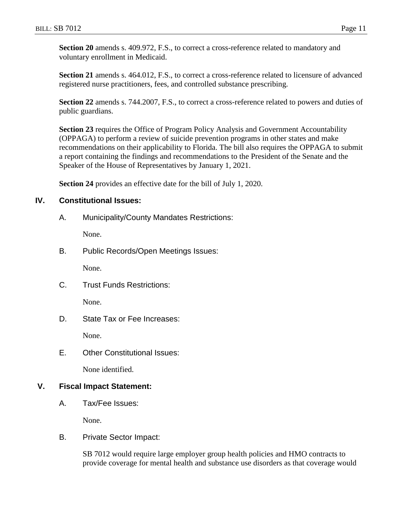**Section 20** amends s. 409.972, F.S., to correct a cross-reference related to mandatory and voluntary enrollment in Medicaid.

**Section 21** amends s. 464.012, F.S., to correct a cross-reference related to licensure of advanced registered nurse practitioners, fees, and controlled substance prescribing.

**Section 22** amends s. 744.2007, F.S., to correct a cross-reference related to powers and duties of public guardians.

**Section 23** requires the Office of Program Policy Analysis and Government Accountability (OPPAGA) to perform a review of suicide prevention programs in other states and make recommendations on their applicability to Florida. The bill also requires the OPPAGA to submit a report containing the findings and recommendations to the President of the Senate and the Speaker of the House of Representatives by January 1, 2021.

**Section 24** provides an effective date for the bill of July 1, 2020.

#### **IV. Constitutional Issues:**

A. Municipality/County Mandates Restrictions:

None.

B. Public Records/Open Meetings Issues:

None.

C. Trust Funds Restrictions:

None.

D. State Tax or Fee Increases:

None.

E. Other Constitutional Issues:

None identified.

### **V. Fiscal Impact Statement:**

A. Tax/Fee Issues:

None.

B. Private Sector Impact:

SB 7012 would require large employer group health policies and HMO contracts to provide coverage for mental health and substance use disorders as that coverage would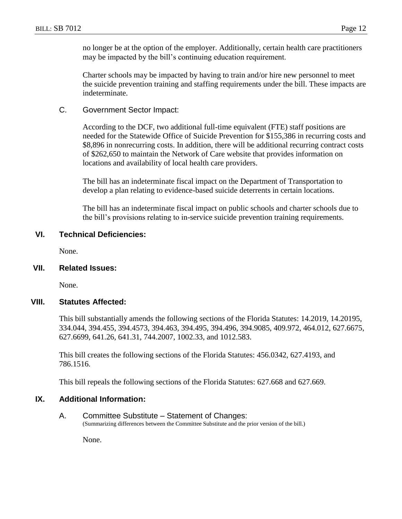no longer be at the option of the employer. Additionally, certain health care practitioners may be impacted by the bill's continuing education requirement.

Charter schools may be impacted by having to train and/or hire new personnel to meet the suicide prevention training and staffing requirements under the bill. These impacts are indeterminate.

C. Government Sector Impact:

According to the DCF, two additional full-time equivalent (FTE) staff positions are needed for the Statewide Office of Suicide Prevention for \$155,386 in recurring costs and \$8,896 in nonrecurring costs. In addition, there will be additional recurring contract costs of \$262,650 to maintain the Network of Care website that provides information on locations and availability of local health care providers.

The bill has an indeterminate fiscal impact on the Department of Transportation to develop a plan relating to evidence-based suicide deterrents in certain locations.

The bill has an indeterminate fiscal impact on public schools and charter schools due to the bill's provisions relating to in-service suicide prevention training requirements.

#### **VI. Technical Deficiencies:**

None.

#### **VII. Related Issues:**

None.

#### **VIII. Statutes Affected:**

This bill substantially amends the following sections of the Florida Statutes: 14.2019, 14.20195, 334.044, 394.455, 394.4573, 394.463, 394.495, 394.496, 394.9085, 409.972, 464.012, 627.6675, 627.6699, 641.26, 641.31, 744.2007, 1002.33, and 1012.583.

This bill creates the following sections of the Florida Statutes: 456.0342, 627.4193, and 786.1516.

This bill repeals the following sections of the Florida Statutes: 627.668 and 627.669.

#### **IX. Additional Information:**

A. Committee Substitute – Statement of Changes: (Summarizing differences between the Committee Substitute and the prior version of the bill.)

None.